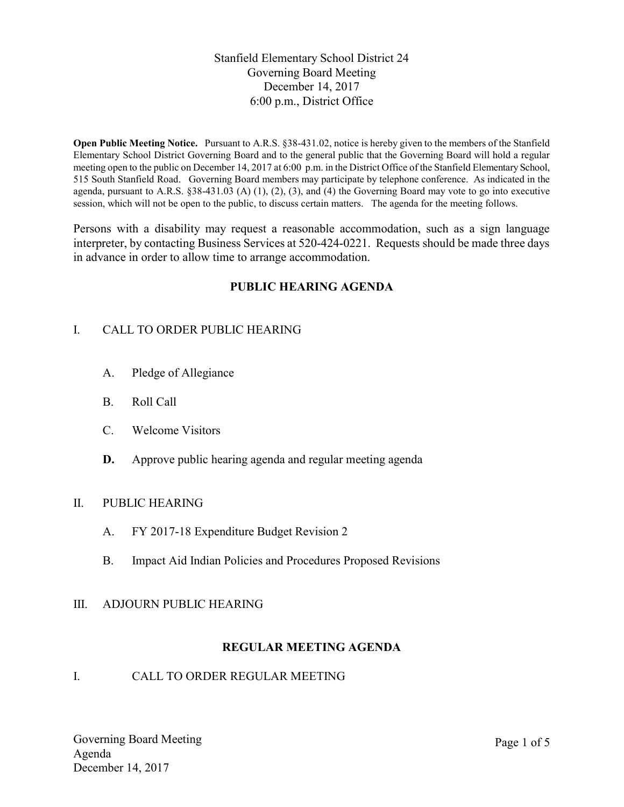Stanfield Elementary School District 24 Governing Board Meeting December 14, 2017 6:00 p.m., District Office

Open Public Meeting Notice. Pursuant to A.R.S. §38-431.02, notice is hereby given to the members of the Stanfield Elementary School District Governing Board and to the general public that the Governing Board will hold a regular meeting open to the public on December 14, 2017 at 6:00 p.m. in the District Office of the Stanfield Elementary School, 515 South Stanfield Road. Governing Board members may participate by telephone conference. As indicated in the agenda, pursuant to A.R.S.  $\S 38-431.03$  (A) (1), (2), (3), and (4) the Governing Board may vote to go into executive session, which will not be open to the public, to discuss certain matters. The agenda for the meeting follows.

Persons with a disability may request a reasonable accommodation, such as a sign language interpreter, by contacting Business Services at 520-424-0221. Requests should be made three days in advance in order to allow time to arrange accommodation.

## PUBLIC HEARING AGENDA

## I. CALL TO ORDER PUBLIC HEARING

- A. Pledge of Allegiance
- B. Roll Call
- C. Welcome Visitors
- D. Approve public hearing agenda and regular meeting agenda

#### II. PUBLIC HEARING

- A. FY 2017-18 Expenditure Budget Revision 2
- B. Impact Aid Indian Policies and Procedures Proposed Revisions

#### III. ADJOURN PUBLIC HEARING

## REGULAR MEETING AGENDA

#### I. CALL TO ORDER REGULAR MEETING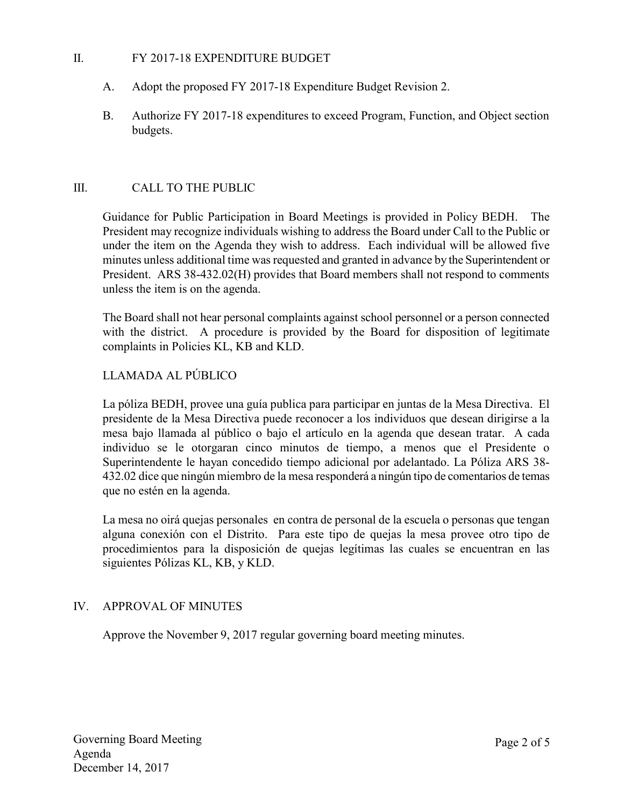### II. FY 2017-18 EXPENDITURE BUDGET

- A. Adopt the proposed FY 2017-18 Expenditure Budget Revision 2.
- B. Authorize FY 2017-18 expenditures to exceed Program, Function, and Object section budgets.

## III. CALL TO THE PUBLIC

Guidance for Public Participation in Board Meetings is provided in Policy BEDH. The President may recognize individuals wishing to address the Board under Call to the Public or under the item on the Agenda they wish to address. Each individual will be allowed five minutes unless additional time was requested and granted in advance by the Superintendent or President. ARS 38-432.02(H) provides that Board members shall not respond to comments unless the item is on the agenda.

The Board shall not hear personal complaints against school personnel or a person connected with the district. A procedure is provided by the Board for disposition of legitimate complaints in Policies KL, KB and KLD.

## LLAMADA AL PÚBLICO

La póliza BEDH, provee una guía publica para participar en juntas de la Mesa Directiva. El presidente de la Mesa Directiva puede reconocer a los individuos que desean dirigirse a la mesa bajo llamada al público o bajo el artículo en la agenda que desean tratar. A cada individuo se le otorgaran cinco minutos de tiempo, a menos que el Presidente o Superintendente le hayan concedido tiempo adicional por adelantado. La Póliza ARS 38- 432.02 dice que ningún miembro de la mesa responderá a ningún tipo de comentarios de temas que no estén en la agenda.

La mesa no oirá quejas personales en contra de personal de la escuela o personas que tengan alguna conexión con el Distrito. Para este tipo de quejas la mesa provee otro tipo de procedimientos para la disposición de quejas legítimas las cuales se encuentran en las siguientes Pólizas KL, KB, y KLD.

#### IV. APPROVAL OF MINUTES

Approve the November 9, 2017 regular governing board meeting minutes.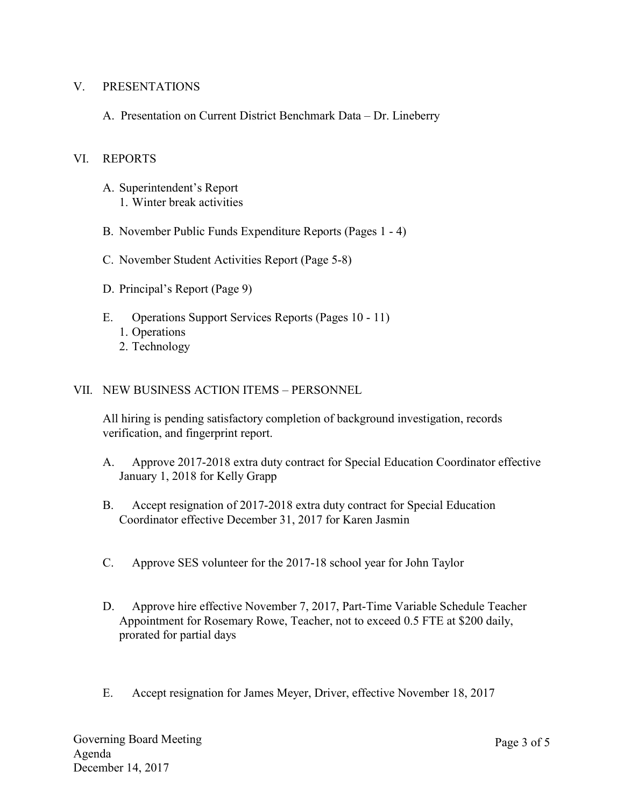## V. PRESENTATIONS

A. Presentation on Current District Benchmark Data – Dr. Lineberry

## VI. REPORTS

- A. Superintendent's Report 1. Winter break activities
- B. November Public Funds Expenditure Reports (Pages 1 4)
- C. November Student Activities Report (Page 5-8)
- D. Principal's Report (Page 9)
- E. Operations Support Services Reports (Pages 10 11)
	- 1. Operations
	- 2. Technology

## VII. NEW BUSINESS ACTION ITEMS – PERSONNEL

All hiring is pending satisfactory completion of background investigation, records verification, and fingerprint report.

- A. Approve 2017-2018 extra duty contract for Special Education Coordinator effective January 1, 2018 for Kelly Grapp
- B. Accept resignation of 2017-2018 extra duty contract for Special Education Coordinator effective December 31, 2017 for Karen Jasmin
- C. Approve SES volunteer for the 2017-18 school year for John Taylor
- D. Approve hire effective November 7, 2017, Part-Time Variable Schedule Teacher Appointment for Rosemary Rowe, Teacher, not to exceed 0.5 FTE at \$200 daily, prorated for partial days
- E. Accept resignation for James Meyer, Driver, effective November 18, 2017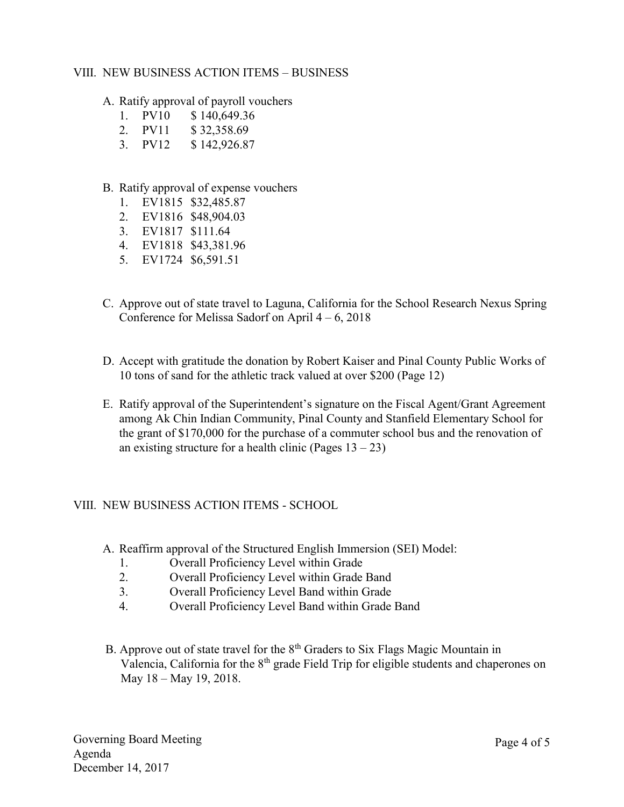## VIII. NEW BUSINESS ACTION ITEMS – BUSINESS

A. Ratify approval of payroll vouchers

- 1. PV10 \$ 140,649.36
- 2. PV11 \$ 32,358.69
- 3. PV12 \$ 142,926.87
- B. Ratify approval of expense vouchers
	- 1. EV1815 \$32,485.87
	- 2. EV1816 \$48,904.03
	- 3. EV1817 \$111.64
	- 4. EV1818 \$43,381.96
	- 5. EV1724 \$6,591.51
- C. Approve out of state travel to Laguna, California for the School Research Nexus Spring Conference for Melissa Sadorf on April  $4 - 6$ , 2018
- D. Accept with gratitude the donation by Robert Kaiser and Pinal County Public Works of 10 tons of sand for the athletic track valued at over \$200 (Page 12)
- E. Ratify approval of the Superintendent's signature on the Fiscal Agent/Grant Agreement among Ak Chin Indian Community, Pinal County and Stanfield Elementary School for the grant of \$170,000 for the purchase of a commuter school bus and the renovation of an existing structure for a health clinic (Pages  $13 - 23$ )

## VIII. NEW BUSINESS ACTION ITEMS - SCHOOL

- A. Reaffirm approval of the Structured English Immersion (SEI) Model:
	- 1. Overall Proficiency Level within Grade
	- 2. Overall Proficiency Level within Grade Band
	- 3. Overall Proficiency Level Band within Grade
	- 4. Overall Proficiency Level Band within Grade Band
- B. Approve out of state travel for the  $8<sup>th</sup>$  Graders to Six Flags Magic Mountain in Valencia, California for the  $8<sup>th</sup>$  grade Field Trip for eligible students and chaperones on May 18 – May 19, 2018.